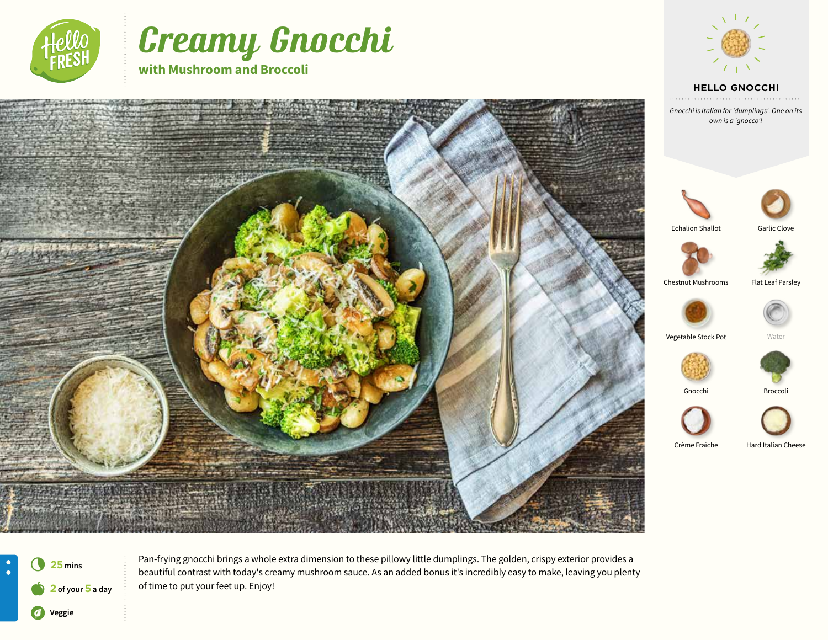

# Creamy Gnocchi

**with Mushroom and Broccoli** 







Pan-frying gnocchi brings a whole extra dimension to these pillowy little dumplings. The golden, crispy exterior provides a beautiful contrast with today's creamy mushroom sauce. As an added bonus it's incredibly easy to make, leaving you plenty of time to put your feet up. Enjoy!